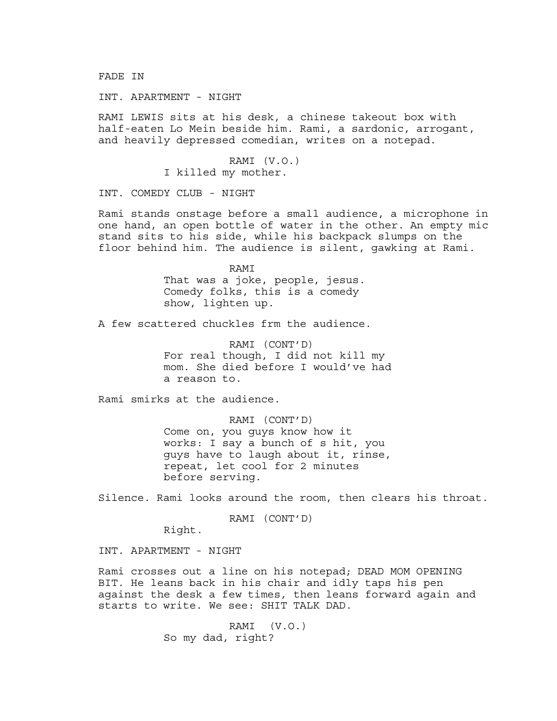FADE IN

INT. APARTMENT - NIGHT

RAMI LEWIS sits at his desk, a chinese takeout box with half-eaten Lo Mein beside him. Rami, a sardonic, arrogant, and heavily depressed comedian, writes on a notepad.

> RAMI (V.O.) I killed my mother.

INT. COMEDY CLUB - NIGHT

Rami stands onstage before a small audience, a microphone in one hand, an open bottle of water in the other. An empty mic stand sits to his side, while his backpack slumps on the floor behind him. The audience is silent, gawking at Rami.

> RAMI That was a joke, people, jesus. Comedy folks, this is a comedy show, lighten up.

A few scattered chuckles frm the audience.

RAMI (CONT'D) For real though, I did not kill my mom. She died before I would've had a reason to.

Rami smirks at the audience.

RAMI (CONT'D) Come on, you guys know how it works: I say a bunch of s hit, you guys have to laugh about it, rinse, repeat, let cool for 2 minutes before serving.

Silence. Rami looks around the room, then clears his throat.

RAMI (CONT'D)

Right.

INT. APARTMENT - NIGHT

Rami crosses out a line on his notepad; DEAD MOM OPENING BIT. He leans back in his chair and idly taps his pen against the desk a few times, then leans forward again and starts to write. We see: SHIT TALK DAD.

> RAMI (V.O.) So my dad, right?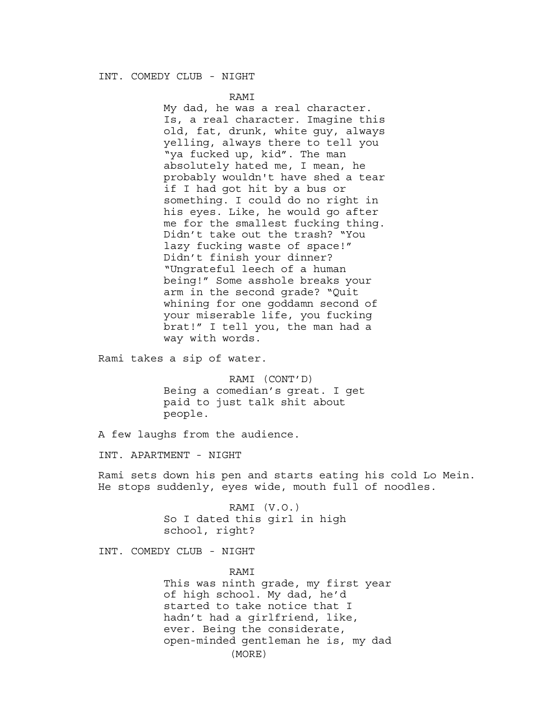#### INT. COMEDY CLUB - NIGHT

#### RAMI

My dad, he was a real character. Is, a real character. Imagine this old, fat, drunk, white guy, always yelling, always there to tell you "ya fucked up, kid". The man absolutely hated me, I mean, he probably wouldn't have shed a tear if I had got hit by a bus or something. I could do no right in his eyes. Like, he would go after me for the smallest fucking thing. Didn't take out the trash? "You lazy fucking waste of space!" Didn't finish your dinner? "Ungrateful leech of a human being!" Some asshole breaks your arm in the second grade? "Quit whining for one goddamn second of your miserable life, you fucking brat!" I tell you, the man had a way with words.

Rami takes a sip of water.

RAMI (CONT'D) Being a comedian's great. I get paid to just talk shit about people.

A few laughs from the audience.

INT. APARTMENT - NIGHT

Rami sets down his pen and starts eating his cold Lo Mein. He stops suddenly, eyes wide, mouth full of noodles.

> RAMI (V.O.) So I dated this girl in high school, right?

INT. COMEDY CLUB - NIGHT

RAMI This was ninth grade, my first year of high school. My dad, he'd started to take notice that I hadn't had a girlfriend, like, ever. Being the considerate, open-minded gentleman he is, my dad (MORE)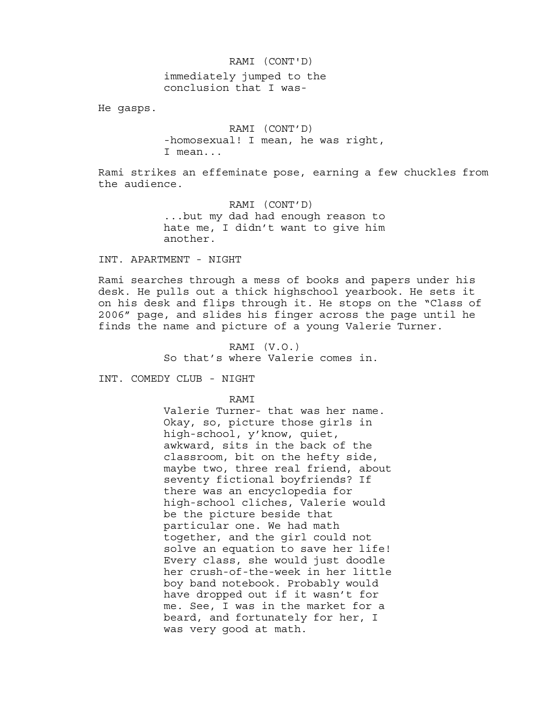# immediately jumped to the RAMI (CONT'D) conclusion that I was-

He gasps.

RAMI (CONT'D) -homosexual! I mean, he was right, I mean...

Rami strikes an effeminate pose, earning a few chuckles from the audience.

> RAMI (CONT'D) ...but my dad had enough reason to hate me, I didn't want to give him another.

INT. APARTMENT - NIGHT

Rami searches through a mess of books and papers under his desk. He pulls out a thick highschool yearbook. He sets it on his desk and flips through it. He stops on the "Class of 2006" page, and slides his finger across the page until he finds the name and picture of a young Valerie Turner.

> RAMI (V.O.) So that's where Valerie comes in.

INT. COMEDY CLUB - NIGHT

RAMI

Valerie Turner- that was her name. Okay, so, picture those girls in high-school, y'know, quiet, awkward, sits in the back of the classroom, bit on the hefty side, maybe two, three real friend, about seventy fictional boyfriends? If there was an encyclopedia for high-school cliches, Valerie would be the picture beside that particular one. We had math together, and the girl could not solve an equation to save her life! Every class, she would just doodle her crush-of-the-week in her little boy band notebook. Probably would have dropped out if it wasn't for me. See, I was in the market for a beard, and fortunately for her, I was very good at math.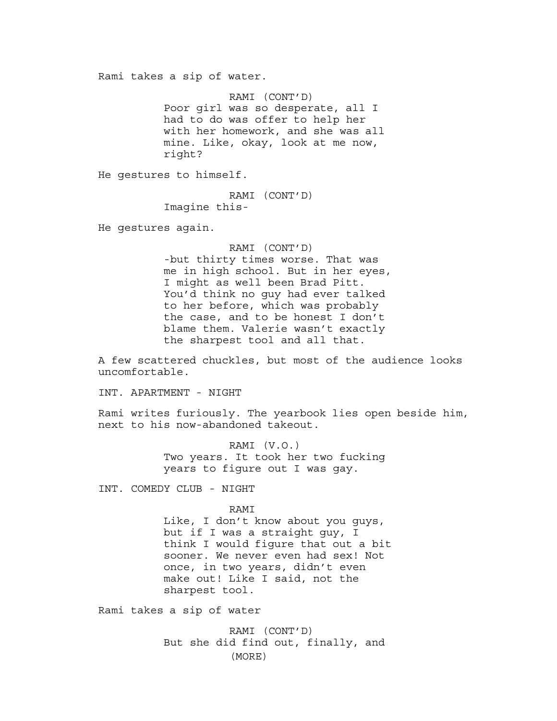Rami takes a sip of water.

RAMI (CONT'D) Poor girl was so desperate, all I had to do was offer to help her with her homework, and she was all mine. Like, okay, look at me now, right?

He gestures to himself.

RAMI (CONT'D) Imagine this-

He gestures again.

RAMI (CONT'D) -but thirty times worse. That was me in high school. But in her eyes, I might as well been Brad Pitt. You'd think no guy had ever talked to her before, which was probably the case, and to be honest I don't blame them. Valerie wasn't exactly the sharpest tool and all that.

A few scattered chuckles, but most of the audience looks uncomfortable.

INT. APARTMENT - NIGHT

Rami writes furiously. The yearbook lies open beside him, next to his now-abandoned takeout.

> RAMI (V.O.) Two years. It took her two fucking years to figure out I was gay.

INT. COMEDY CLUB - NIGHT

RAMI

Like, I don't know about you guys, but if I was a straight guy, I think I would figure that out a bit sooner. We never even had sex! Not once, in two years, didn't even make out! Like I said, not the sharpest tool.

Rami takes a sip of water

RAMI (CONT'D) But she did find out, finally, and (MORE)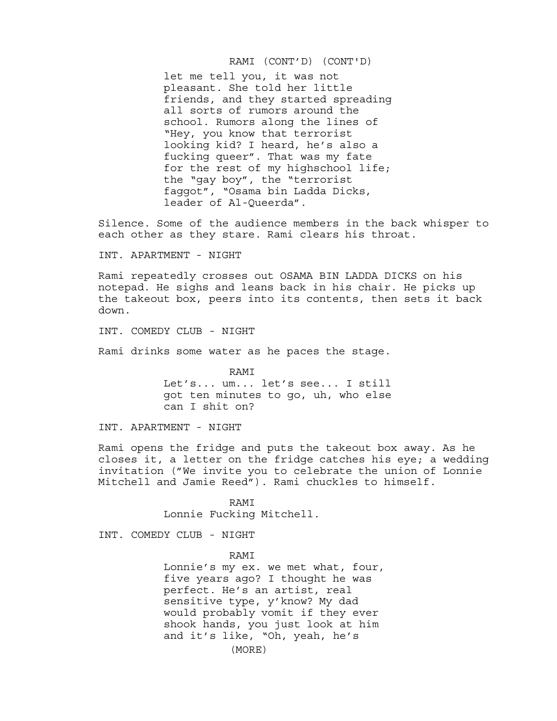#### RAMI (CONT'D) (CONT'D)

let me tell you, it was not pleasant. She told her little friends, and they started spreading all sorts of rumors around the school. Rumors along the lines of "Hey, you know that terrorist looking kid? I heard, he's also a fucking queer". That was my fate for the rest of my highschool life; the "gay boy", the "terrorist faggot", "Osama bin Ladda Dicks, leader of Al-Queerda".

Silence. Some of the audience members in the back whisper to each other as they stare. Rami clears his throat.

INT. APARTMENT - NIGHT

Rami repeatedly crosses out OSAMA BIN LADDA DICKS on his notepad. He sighs and leans back in his chair. He picks up the takeout box, peers into its contents, then sets it back down.

INT. COMEDY CLUB - NIGHT

Rami drinks some water as he paces the stage.

RAMI Let's... um... let's see... I still got ten minutes to go, uh, who else can I shit on?

INT. APARTMENT - NIGHT

Rami opens the fridge and puts the takeout box away. As he closes it, a letter on the fridge catches his eye; a wedding invitation ("We invite you to celebrate the union of Lonnie Mitchell and Jamie Reed"). Rami chuckles to himself.

> RAMI Lonnie Fucking Mitchell.

INT. COMEDY CLUB - NIGHT

RAMI

Lonnie's my ex. we met what, four, five years ago? I thought he was perfect. He's an artist, real sensitive type, y'know? My dad would probably vomit if they ever shook hands, you just look at him and it's like, "Oh, yeah, he's (MORE)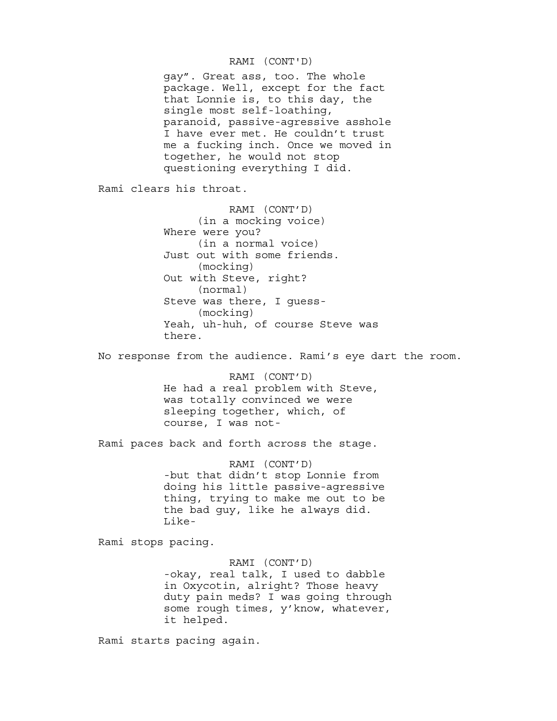### RAMI (CONT'D)

gay". Great ass, too. The whole package. Well, except for the fact that Lonnie is, to this day, the single most self-loathing, paranoid, passive-agressive asshole I have ever met. He couldn't trust me a fucking inch. Once we moved in together, he would not stop questioning everything I did.

Rami clears his throat.

RAMI (CONT'D) (in a mocking voice) Where were you? (in a normal voice) Just out with some friends. (mocking) Out with Steve, right? (normal) Steve was there, I guess- (mocking) Yeah, uh-huh, of course Steve was there.

No response from the audience. Rami's eye dart the room.

RAMI (CONT'D) He had a real problem with Steve, was totally convinced we were sleeping together, which, of course, I was not-

Rami paces back and forth across the stage.

RAMI (CONT'D) -but that didn't stop Lonnie from doing his little passive-agressive thing, trying to make me out to be the bad guy, like he always did. Like-

Rami stops pacing.

RAMI (CONT'D) -okay, real talk, I used to dabble in Oxycotin, alright? Those heavy duty pain meds? I was going through some rough times, y'know, whatever, it helped.

Rami starts pacing again.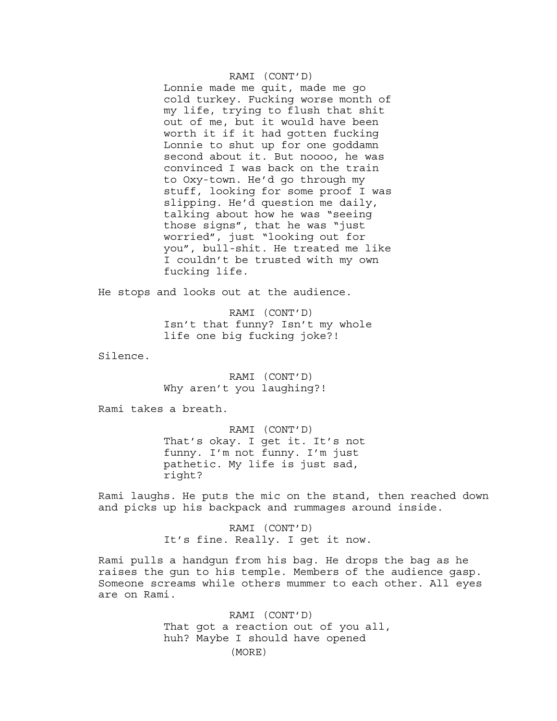#### RAMI (CONT'D)

Lonnie made me quit, made me go cold turkey. Fucking worse month of my life, trying to flush that shit out of me, but it would have been worth it if it had gotten fucking Lonnie to shut up for one goddamn second about it. But noooo, he was convinced I was back on the train to Oxy-town. He'd go through my stuff, looking for some proof I was slipping. He'd question me daily, talking about how he was "seeing those signs", that he was "just worried", just "looking out for you", bull-shit. He treated me like I couldn't be trusted with my own fucking life.

He stops and looks out at the audience.

RAMI (CONT'D) Isn't that funny? Isn't my whole life one big fucking joke?!

Silence.

RAMI (CONT'D) Why aren't you laughing?!

Rami takes a breath.

RAMI (CONT'D) That's okay. I get it. It's not funny. I'm not funny. I'm just pathetic. My life is just sad, right?

Rami laughs. He puts the mic on the stand, then reached down and picks up his backpack and rummages around inside.

> RAMI (CONT'D) It's fine. Really. I get it now.

Rami pulls a handgun from his bag. He drops the bag as he raises the gun to his temple. Members of the audience gasp. Someone screams while others mummer to each other. All eyes are on Rami.

> RAMI (CONT'D) That got a reaction out of you all, huh? Maybe I should have opened (MORE)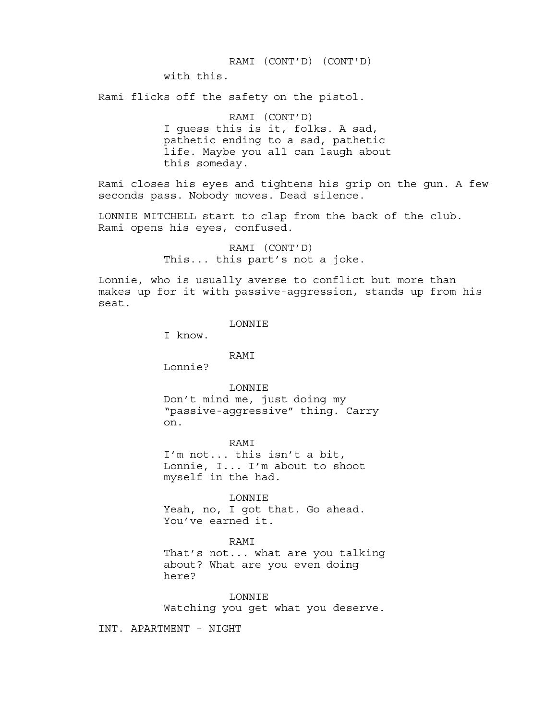#### RAMI (CONT'D) (CONT'D)

with this.

Rami flicks off the safety on the pistol.

RAMI (CONT'D) I guess this is it, folks. A sad, pathetic ending to a sad, pathetic life. Maybe you all can laugh about this someday.

Rami closes his eyes and tightens his grip on the gun. A few seconds pass. Nobody moves. Dead silence.

LONNIE MITCHELL start to clap from the back of the club. Rami opens his eyes, confused.

> RAMI (CONT'D) This... this part's not a joke.

Lonnie, who is usually averse to conflict but more than makes up for it with passive-aggression, stands up from his seat.

LONNIE

I know.

RAMI

Lonnie?

LONNIE

Don't mind me, just doing my "passive-aggressive" thing. Carry on.

RAMI I'm not... this isn't a bit, Lonnie, I... I'm about to shoot myself in the had.

LONNIE

Yeah, no, I got that. Go ahead. You've earned it.

RAMI

That's not... what are you talking about? What are you even doing here?

LONNIE Watching you get what you deserve.

INT. APARTMENT - NIGHT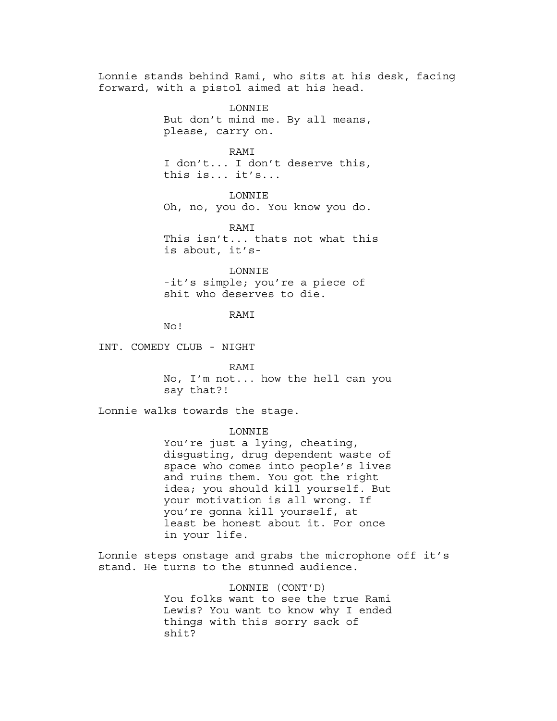Lonnie stands behind Rami, who sits at his desk, facing forward, with a pistol aimed at his head. LONNIE But don't mind me. By all means, please, carry on. RAMI I don't... I don't deserve this, this is... it's... LONNIE Oh, no, you do. You know you do. RAMI This isn't... thats not what this is about, it's-LONNIE -it's simple; you're a piece of shit who deserves to die. RAMI No! INT. COMEDY CLUB - NIGHT

RAMI

No, I'm not... how the hell can you say that?!

Lonnie walks towards the stage.

#### LONNIE

You're just a lying, cheating, disgusting, drug dependent waste of space who comes into people's lives and ruins them. You got the right idea; you should kill yourself. But your motivation is all wrong. If you're gonna kill yourself, at least be honest about it. For once in your life.

Lonnie steps onstage and grabs the microphone off it's stand. He turns to the stunned audience.

> LONNIE (CONT'D) You folks want to see the true Rami Lewis? You want to know why I ended things with this sorry sack of shit?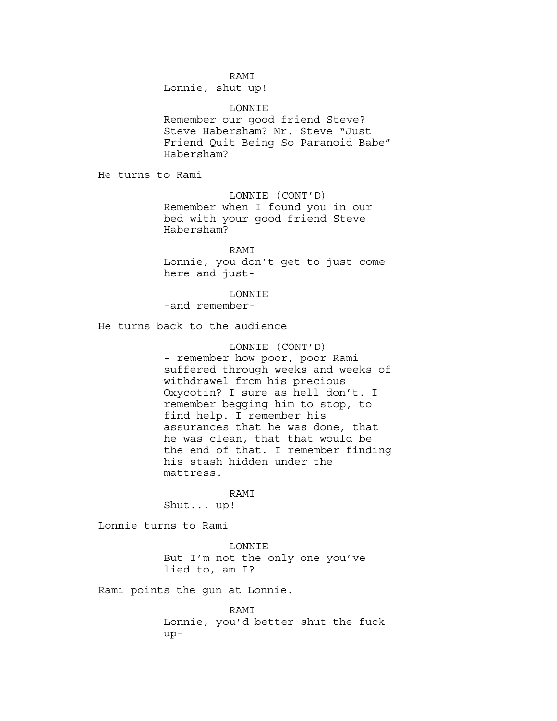#### RAMI

Lonnie, shut up!

LONNIE Remember our good friend Steve? Steve Habersham? Mr. Steve "Just Friend Quit Being So Paranoid Babe" Habersham?

He turns to Rami

LONNIE (CONT'D) Remember when I found you in our bed with your good friend Steve Habersham?

RAMI Lonnie, you don't get to just come here and just-

### LONNIE

-and remember-

He turns back to the audience

## LONNIE (CONT'D)

- remember how poor, poor Rami suffered through weeks and weeks of withdrawel from his precious Oxycotin? I sure as hell don't. I remember begging him to stop, to find help. I remember his assurances that he was done, that he was clean, that that would be the end of that. I remember finding his stash hidden under the mattress.

RAMI

Shut... up!

Lonnie turns to Rami

LONNIE But I'm not the only one you've lied to, am I?

Rami points the gun at Lonnie.

RAMI Lonnie, you'd better shut the fuck up-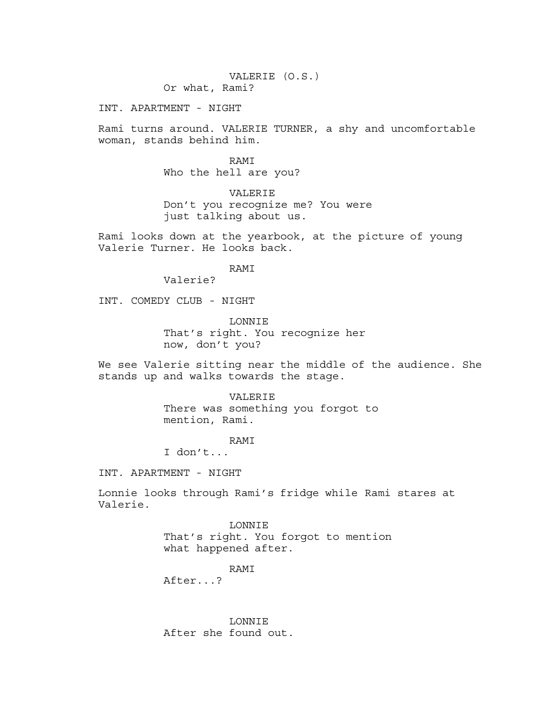# VALERIE (O.S.)

Or what, Rami?

INT. APARTMENT - NIGHT

Rami turns around. VALERIE TURNER, a shy and uncomfortable woman, stands behind him.

> RAMI Who the hell are you?

VALERIE Don't you recognize me? You were just talking about us.

Rami looks down at the yearbook, at the picture of young Valerie Turner. He looks back.

RAMI

Valerie?

INT. COMEDY CLUB - NIGHT

LONNIE That's right. You recognize her now, don't you?

We see Valerie sitting near the middle of the audience. She stands up and walks towards the stage.

> VALERIE There was something you forgot to mention, Rami.

> > RAMI

I don't...

INT. APARTMENT - NIGHT

Lonnie looks through Rami's fridge while Rami stares at Valerie.

> LONNIE That's right. You forgot to mention what happened after.

> > RAMI

After...?

LONNIE After she found out.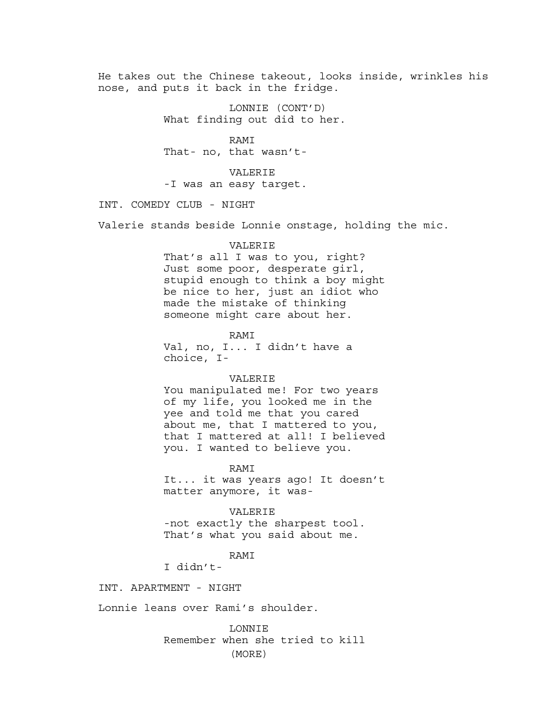He takes out the Chinese takeout, looks inside, wrinkles his nose, and puts it back in the fridge.

> LONNIE (CONT'D) What finding out did to her.

RAMI That- no, that wasn't-

VALERIE -I was an easy target.

INT. COMEDY CLUB - NIGHT

Valerie stands beside Lonnie onstage, holding the mic.

#### VALERIE

That's all I was to you, right? Just some poor, desperate girl, stupid enough to think a boy might be nice to her, just an idiot who made the mistake of thinking someone might care about her.

RAMI Val, no, I... I didn't have a choice, I-

#### VALERIE

You manipulated me! For two years of my life, you looked me in the yee and told me that you cared about me, that I mattered to you, that I mattered at all! I believed you. I wanted to believe you.

RAMI

It... it was years ago! It doesn't matter anymore, it was-

### VALERIE

-not exactly the sharpest tool. That's what you said about me.

RAMI

I didn't-

INT. APARTMENT - NIGHT

Lonnie leans over Rami's shoulder.

LONNIE Remember when she tried to kill (MORE)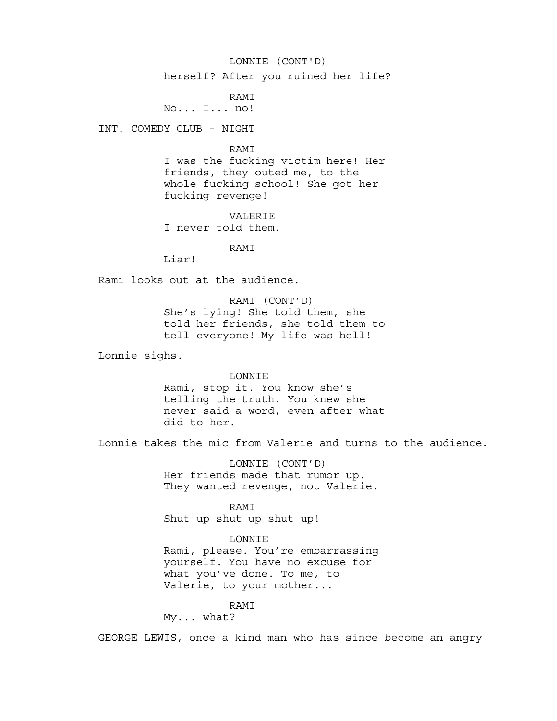# LONNIE (CONT'D)

herself? After you ruined her life?

# RAMI

No... I... no!

INT. COMEDY CLUB - NIGHT

#### RAMI

I was the fucking victim here! Her friends, they outed me, to the whole fucking school! She got her fucking revenge!

VALERIE I never told them.

#### RAMI

Liar!

Rami looks out at the audience.

RAMI (CONT'D) She's lying! She told them, she told her friends, she told them to tell everyone! My life was hell!

Lonnie sighs.

#### LONNIE

Rami, stop it. You know she's telling the truth. You knew she never said a word, even after what did to her.

Lonnie takes the mic from Valerie and turns to the audience.

LONNIE (CONT'D) Her friends made that rumor up. They wanted revenge, not Valerie.

RAMI

Shut up shut up shut up!

# LONNIE

Rami, please. You're embarrassing yourself. You have no excuse for what you've done. To me, to Valerie, to your mother...

# RAMI

My... what?

GEORGE LEWIS, once a kind man who has since become an angry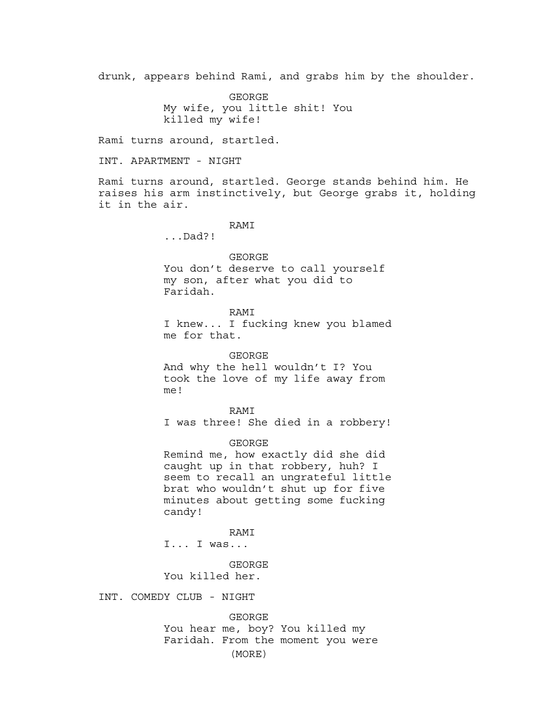drunk, appears behind Rami, and grabs him by the shoulder.

GEORGE My wife, you little shit! You killed my wife!

Rami turns around, startled.

INT. APARTMENT - NIGHT

Rami turns around, startled. George stands behind him. He raises his arm instinctively, but George grabs it, holding it in the air.

# RAMI

...Dad?!

GEORGE You don't deserve to call yourself my son, after what you did to Faridah.

RAMI

I knew... I fucking knew you blamed me for that.

GEORGE And why the hell wouldn't I? You took the love of my life away from me!

RAMI I was three! She died in a robbery!

GEORGE Remind me, how exactly did she did caught up in that robbery, huh? I seem to recall an ungrateful little brat who wouldn't shut up for five minutes about getting some fucking candy!

RAMI I... I was...

GEORGE You killed her.

INT. COMEDY CLUB - NIGHT

GEORGE You hear me, boy? You killed my Faridah. From the moment you were (MORE)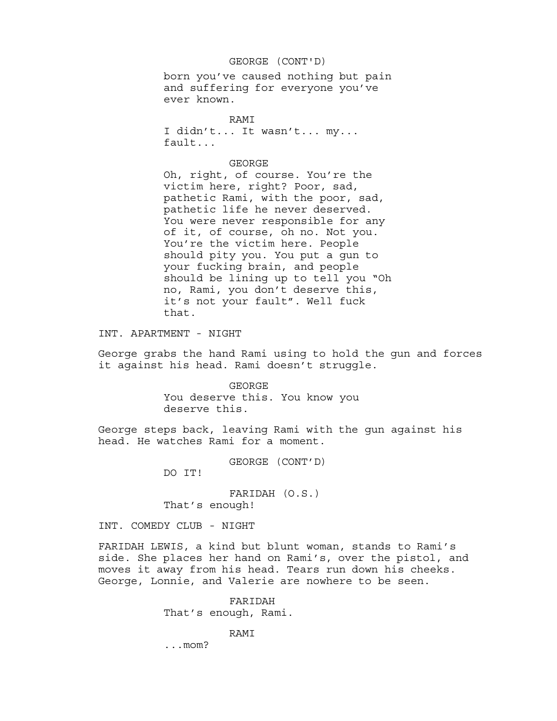# GEORGE (CONT'D)

born you've caused nothing but pain and suffering for everyone you've ever known.

RAMI I didn't... It wasn't... my... fault...

#### GEORGE

Oh, right, of course. You're the victim here, right? Poor, sad, pathetic Rami, with the poor, sad, pathetic life he never deserved. You were never responsible for any of it, of course, oh no. Not you. You're the victim here. People should pity you. You put a gun to your fucking brain, and people should be lining up to tell you "Oh no, Rami, you don't deserve this, it's not your fault". Well fuck that.

INT. APARTMENT - NIGHT

George grabs the hand Rami using to hold the gun and forces it against his head. Rami doesn't struggle.

> GEORGE You deserve this. You know you deserve this.

George steps back, leaving Rami with the gun against his head. He watches Rami for a moment.

GEORGE (CONT'D)

DO IT!

FARIDAH (O.S.) That's enough!

INT. COMEDY CLUB - NIGHT

FARIDAH LEWIS, a kind but blunt woman, stands to Rami's side. She places her hand on Rami's, over the pistol, and moves it away from his head. Tears run down his cheeks. George, Lonnie, and Valerie are nowhere to be seen.

> FARIDAH That's enough, Rami.

> > RAMI

...mom?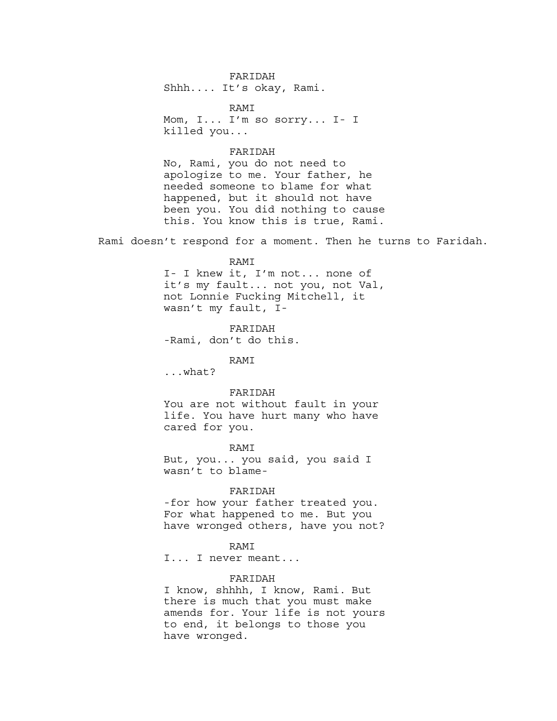FARIDAH Shhh.... It's okay, Rami.

RAMI Mom, I... I'm so sorry... I- I killed you...

#### FARIDAH

No, Rami, you do not need to apologize to me. Your father, he needed someone to blame for what happened, but it should not have been you. You did nothing to cause this. You know this is true, Rami.

Rami doesn't respond for a moment. Then he turns to Faridah.

#### RAMI

I- I knew it, I'm not... none of it's my fault... not you, not Val, not Lonnie Fucking Mitchell, it wasn't my fault, I-

FARIDAH -Rami, don't do this.

#### RAMI

...what?

#### FARIDAH

You are not without fault in your life. You have hurt many who have cared for you.

#### RAMI

But, you... you said, you said I wasn't to blame-

#### FARIDAH

-for how your father treated you. For what happened to me. But you have wronged others, have you not?

# RAMI

I... I never meant...

#### FARIDAH

I know, shhhh, I know, Rami. But there is much that you must make amends for. Your life is not yours to end, it belongs to those you have wronged.